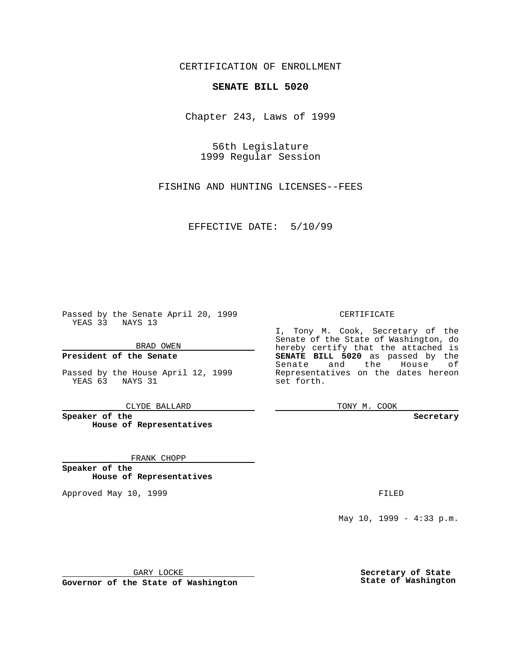CERTIFICATION OF ENROLLMENT

# **SENATE BILL 5020**

Chapter 243, Laws of 1999

56th Legislature 1999 Regular Session

FISHING AND HUNTING LICENSES--FEES

EFFECTIVE DATE: 5/10/99

Passed by the Senate April 20, 1999 YEAS 33 NAYS 13

BRAD OWEN

**President of the Senate**

Passed by the House April 12, 1999 YEAS 63 NAYS 31

CLYDE BALLARD

**Speaker of the House of Representatives**

FRANK CHOPP

**Speaker of the House of Representatives**

Approved May 10, 1999 **FILED** 

### CERTIFICATE

I, Tony M. Cook, Secretary of the Senate of the State of Washington, do hereby certify that the attached is **SENATE BILL 5020** as passed by the Senate and the House of Representatives on the dates hereon set forth.

TONY M. COOK

#### **Secretary**

May 10, 1999 - 4:33 p.m.

GARY LOCKE

**Governor of the State of Washington**

**Secretary of State State of Washington**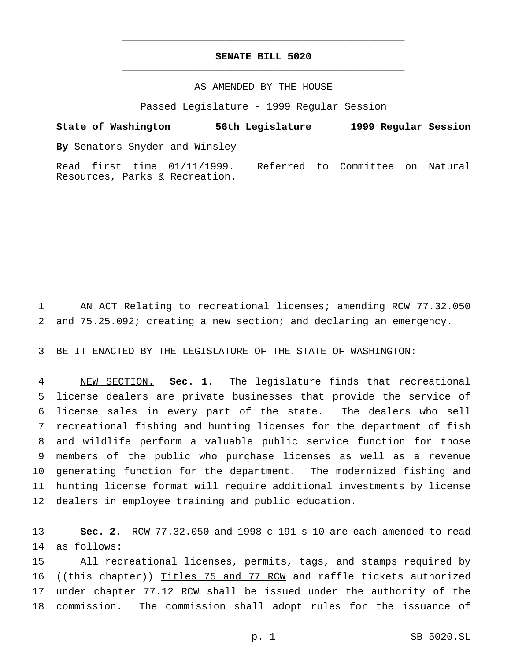## **SENATE BILL 5020** \_\_\_\_\_\_\_\_\_\_\_\_\_\_\_\_\_\_\_\_\_\_\_\_\_\_\_\_\_\_\_\_\_\_\_\_\_\_\_\_\_\_\_\_\_\_\_

\_\_\_\_\_\_\_\_\_\_\_\_\_\_\_\_\_\_\_\_\_\_\_\_\_\_\_\_\_\_\_\_\_\_\_\_\_\_\_\_\_\_\_\_\_\_\_

## AS AMENDED BY THE HOUSE

Passed Legislature - 1999 Regular Session

**State of Washington 56th Legislature 1999 Regular Session By** Senators Snyder and Winsley

Read first time 01/11/1999. Referred to Committee on Natural Resources, Parks & Recreation.

 AN ACT Relating to recreational licenses; amending RCW 77.32.050 and 75.25.092; creating a new section; and declaring an emergency.

BE IT ENACTED BY THE LEGISLATURE OF THE STATE OF WASHINGTON:

 NEW SECTION. **Sec. 1.** The legislature finds that recreational license dealers are private businesses that provide the service of license sales in every part of the state. The dealers who sell recreational fishing and hunting licenses for the department of fish and wildlife perform a valuable public service function for those members of the public who purchase licenses as well as a revenue generating function for the department. The modernized fishing and hunting license format will require additional investments by license dealers in employee training and public education.

 **Sec. 2.** RCW 77.32.050 and 1998 c 191 s 10 are each amended to read as follows:

 All recreational licenses, permits, tags, and stamps required by 16 ((this chapter)) Titles 75 and 77 RCW and raffle tickets authorized under chapter 77.12 RCW shall be issued under the authority of the commission. The commission shall adopt rules for the issuance of